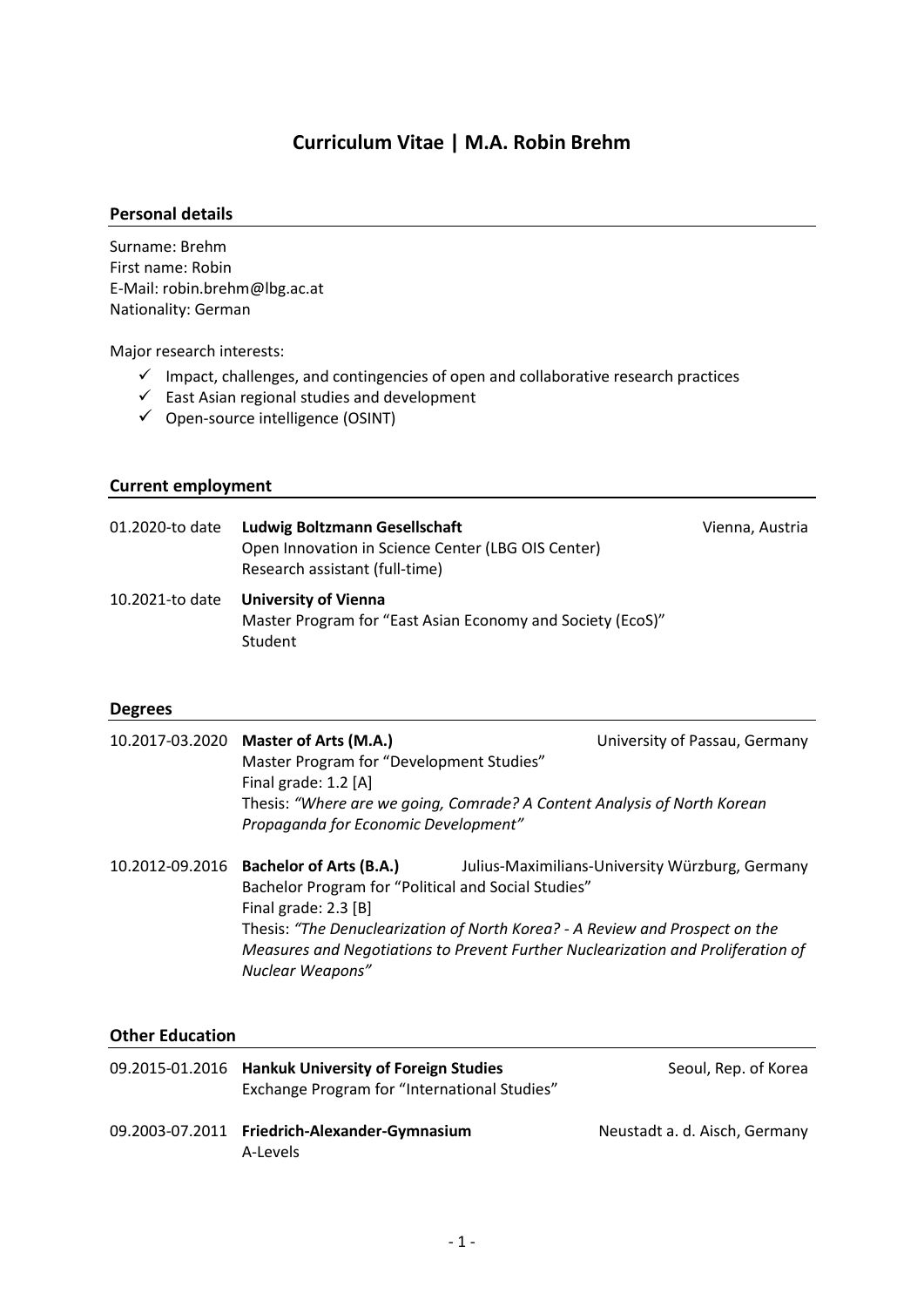# **Curriculum Vitae | M.A. Robin Brehm**

#### **Personal details**

Surname: Brehm First name: Robin E-Mail: robin.brehm@lbg.ac.at Nationality: German

Major research interests:

- $\checkmark$  Impact, challenges, and contingencies of open and collaborative research practices
- ✓ East Asian regional studies and development
- ✓ Open-source intelligence (OSINT)

### **Current employment**

| 01.2020-to date | <b>Ludwig Boltzmann Gesellschaft</b><br>Open Innovation in Science Center (LBG OIS Center)<br>Research assistant (full-time) | Vienna, Austria |
|-----------------|------------------------------------------------------------------------------------------------------------------------------|-----------------|
|                 | 10.2021-to date University of Vienna<br>Master Program for "East Asian Economy and Society (EcoS)"<br>Student                |                 |

#### **Degrees**

| 10.2017-03.2020 Master of Arts (M.A.)<br>Master Program for "Development Studies"<br>Final grade: 1.2 [A]<br>Propaganda for Economic Development" | University of Passau, Germany<br>Thesis: "Where are we going, Comrade? A Content Analysis of North Korean |
|---------------------------------------------------------------------------------------------------------------------------------------------------|-----------------------------------------------------------------------------------------------------------|
| 10.2012-09.2016 Bachelor of Arts (B.A.)<br><b>Bachelor Program for "Political and Social Studies"</b>                                             | Julius-Maximilians-University Würzburg, Germany                                                           |

Bachelor Program for "Political and Social Studies" Final grade: 2.3 [B] Thesis: *"The Denuclearization of North Korea? - A Review and Prospect on the Measures and Negotiations to Prevent Further Nuclearization and Proliferation of Nuclear Weapons"*

### **Other Education**

| 09.2015-01.2016 Hankuk University of Foreign Studies<br>Exchange Program for "International Studies" | Seoul, Rep. of Korea          |
|------------------------------------------------------------------------------------------------------|-------------------------------|
| 09.2003-07.2011 Friedrich-Alexander-Gymnasium<br>A-Levels                                            | Neustadt a. d. Aisch, Germany |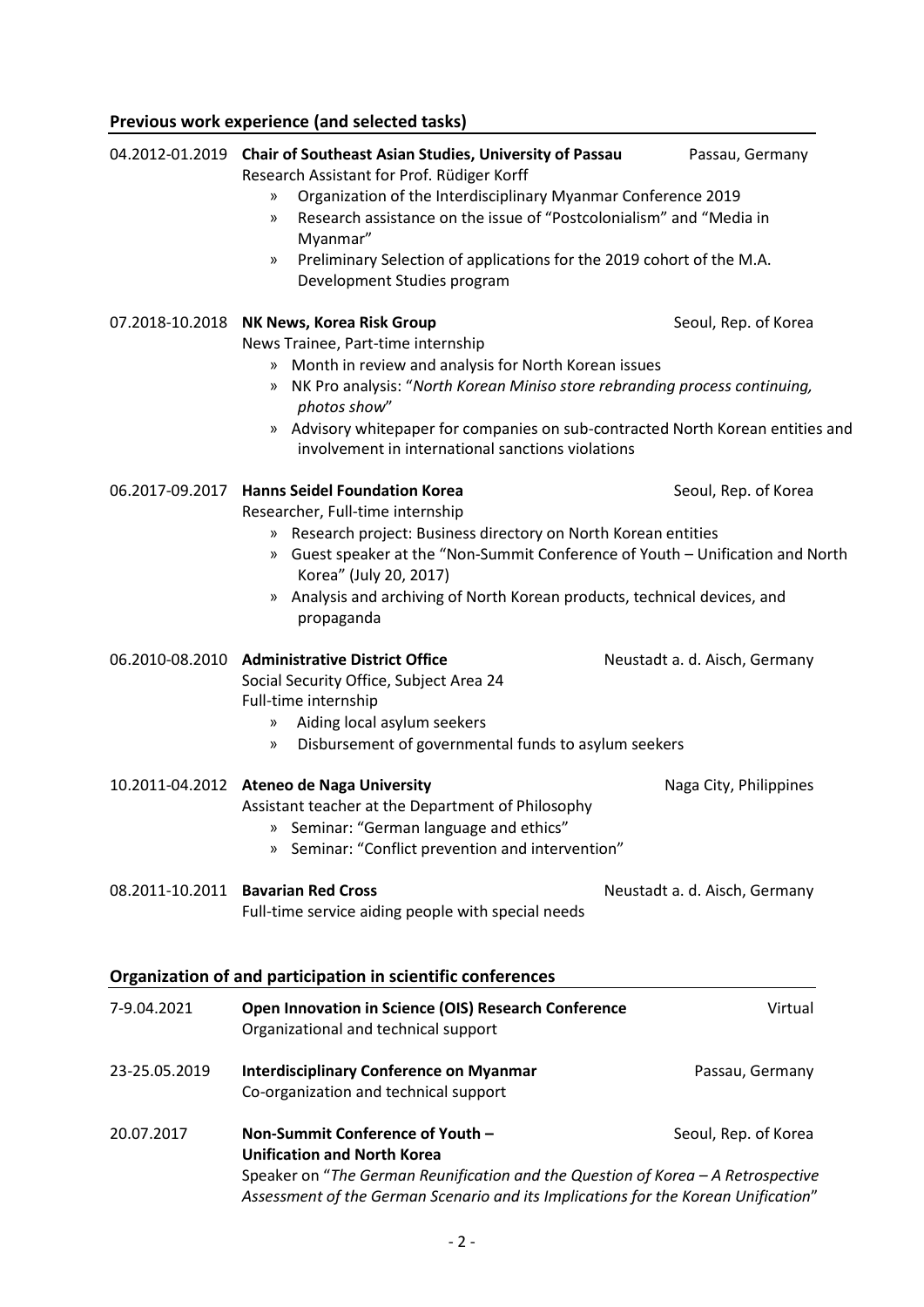|               | Previous work experience (and selected tasks)                                                                                                                                                                                                                                                                                                                                                               |                               |  |
|---------------|-------------------------------------------------------------------------------------------------------------------------------------------------------------------------------------------------------------------------------------------------------------------------------------------------------------------------------------------------------------------------------------------------------------|-------------------------------|--|
|               | 04.2012-01.2019 Chair of Southeast Asian Studies, University of Passau<br>Research Assistant for Prof. Rüdiger Korff<br>Organization of the Interdisciplinary Myanmar Conference 2019<br>»<br>Research assistance on the issue of "Postcolonialism" and "Media in<br>$\mathcal{P}$<br>Myanmar"<br>Preliminary Selection of applications for the 2019 cohort of the M.A.<br>»<br>Development Studies program | Passau, Germany               |  |
|               | 07.2018-10.2018 NK News, Korea Risk Group<br>News Trainee, Part-time internship<br>Month in review and analysis for North Korean issues<br>»<br>NK Pro analysis: "North Korean Miniso store rebranding process continuing,<br>»<br>photos show"<br>» Advisory whitepaper for companies on sub-contracted North Korean entities and<br>involvement in international sanctions violations                     | Seoul, Rep. of Korea          |  |
|               | 06.2017-09.2017 Hanns Seidel Foundation Korea<br>Researcher, Full-time internship<br>Research project: Business directory on North Korean entities<br>$\rangle$<br>Guest speaker at the "Non-Summit Conference of Youth - Unification and North<br>$\mathcal{Y}$<br>Korea" (July 20, 2017)<br>Analysis and archiving of North Korean products, technical devices, and<br>»<br>propaganda                    | Seoul, Rep. of Korea          |  |
|               | 06.2010-08.2010 Administrative District Office<br>Social Security Office, Subject Area 24<br>Full-time internship<br>Aiding local asylum seekers<br>$\mathcal{Y}$<br>Disbursement of governmental funds to asylum seekers<br>»                                                                                                                                                                              | Neustadt a. d. Aisch, Germany |  |
|               | 10.2011-04.2012 Ateneo de Naga University<br>Assistant teacher at the Department of Philosophy<br>Seminar: "German language and ethics"<br>»<br>Seminar: "Conflict prevention and intervention"<br>$\gg$                                                                                                                                                                                                    | Naga City, Philippines        |  |
|               | 08.2011-10.2011 Bavarian Red Cross<br>Full-time service aiding people with special needs                                                                                                                                                                                                                                                                                                                    | Neustadt a. d. Aisch, Germany |  |
|               | Organization of and participation in scientific conferences                                                                                                                                                                                                                                                                                                                                                 |                               |  |
| 7-9.04.2021   | Open Innovation in Science (OIS) Research Conference<br>Organizational and technical support                                                                                                                                                                                                                                                                                                                | Virtual                       |  |
| 23-25.05.2019 | <b>Interdisciplinary Conference on Myanmar</b><br>Co-organization and technical support                                                                                                                                                                                                                                                                                                                     | Passau, Germany               |  |
| 20.07.2017    | Non-Summit Conference of Youth -<br>Seoul, Rep. of Korea<br><b>Unification and North Korea</b><br>Speaker on "The German Reunification and the Question of Korea - A Retrospective<br>Assessment of the German Scenario and its Implications for the Korean Unification"                                                                                                                                    |                               |  |